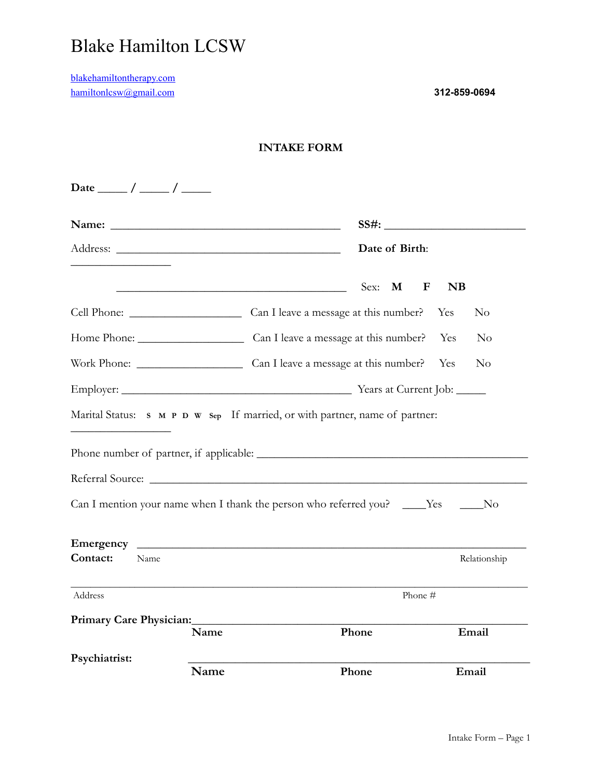## Blake Hamilton LCSW

[blakehamiltontherapy.com](http://blakehamiltontherapy.com) [hamiltonlcsw@gmail.com](mailto:olsonlcswnyc@gmail.com) **312-859-0694** 

|                                                                                                                                                                             |                                                      |       | Date of Birth: |              |           |                |
|-----------------------------------------------------------------------------------------------------------------------------------------------------------------------------|------------------------------------------------------|-------|----------------|--------------|-----------|----------------|
|                                                                                                                                                                             | <u> 1980 - Johann Barn, fransk politik (f. 1980)</u> | Sex:  | M              | $\mathbf{F}$ | <b>NB</b> |                |
|                                                                                                                                                                             |                                                      |       |                |              | Yes       | N <sub>0</sub> |
| Home Phone: Can I leave a message at this number?                                                                                                                           |                                                      |       |                |              | Yes       | No             |
|                                                                                                                                                                             |                                                      |       |                |              | Yes       | N <sub>o</sub> |
|                                                                                                                                                                             |                                                      |       |                |              |           |                |
|                                                                                                                                                                             |                                                      |       |                |              |           |                |
|                                                                                                                                                                             |                                                      |       |                |              |           |                |
|                                                                                                                                                                             |                                                      |       |                |              |           |                |
|                                                                                                                                                                             |                                                      |       |                |              |           |                |
|                                                                                                                                                                             |                                                      |       |                |              |           |                |
|                                                                                                                                                                             |                                                      |       |                |              |           |                |
| Name                                                                                                                                                                        |                                                      |       |                |              |           |                |
| Address                                                                                                                                                                     |                                                      |       | Phone #        |              |           | Relationship   |
| Marital Status: s M P D W Sep If married, or with partner, name of partner:<br>Can I mention your name when I thank the person who referred you? ____Yes ____No<br>Contact: |                                                      |       |                |              |           |                |
|                                                                                                                                                                             | Name                                                 | Phone |                |              |           | Email          |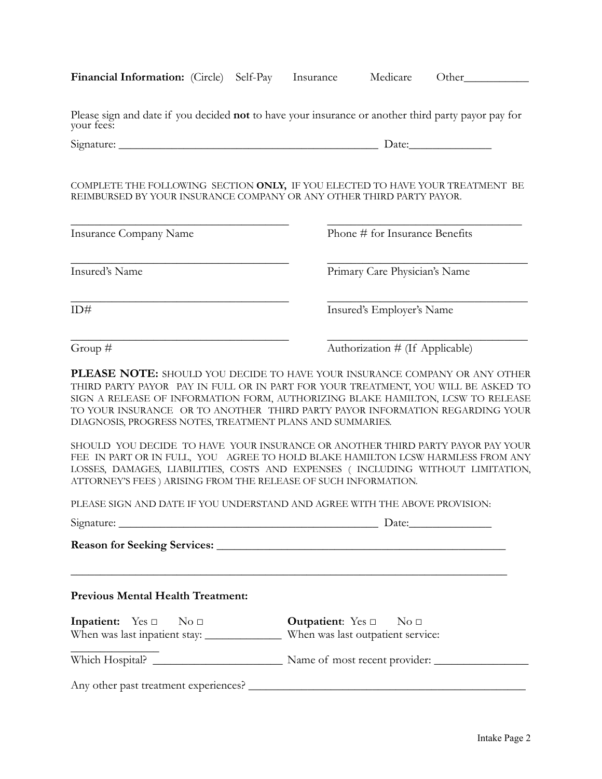| <b>Financial Information:</b> (Circle) Self-Pay |  |  | Insurance | Medicare | Other |  |
|-------------------------------------------------|--|--|-----------|----------|-------|--|
|-------------------------------------------------|--|--|-----------|----------|-------|--|

Please sign and date if you decided **not** to have your insurance or another third party payor pay for your fees:

Signature: \_\_\_\_\_\_\_\_\_\_\_\_\_\_\_\_\_\_\_\_\_\_\_\_\_\_\_\_\_\_\_\_\_\_\_\_\_\_\_\_\_\_\_\_ Date:\_\_\_\_\_\_\_\_\_\_\_\_\_\_

COMPLETE THE FOLLOWING SECTION **ONLY,** IF YOU ELECTED TO HAVE YOUR TREATMENT BE REIMBURSED BY YOUR INSURANCE COMPANY OR ANY OTHER THIRD PARTY PAYOR.

| <b>Insurance Company Name</b> | Phone # for Insurance Benefits |
|-------------------------------|--------------------------------|
| Insured's Name                | Primary Care Physician's Name  |
| ID#                           | Insured's Employer's Name      |

Group #  $\qquad \qquad \text{Authorization } # \text{ (If Applicable)}$ 

**PLEASE NOTE:** SHOULD YOU DECIDE TO HAVE YOUR INSURANCE COMPANY OR ANY OTHER THIRD PARTY PAYOR PAY IN FULL OR IN PART FOR YOUR TREATMENT, YOU WILL BE ASKED TO SIGN A RELEASE OF INFORMATION FORM, AUTHORIZING BLAKE HAMILTON, LCSW TO RELEASE TO YOUR INSURANCE OR TO ANOTHER THIRD PARTY PAYOR INFORMATION REGARDING YOUR DIAGNOSIS, PROGRESS NOTES, TREATMENT PLANS AND SUMMARIES.

SHOULD YOU DECIDE TO HAVE YOUR INSURANCE OR ANOTHER THIRD PARTY PAYOR PAY YOUR FEE IN PART OR IN FULL, YOU AGREE TO HOLD BLAKE HAMILTON LCSW HARMLESS FROM ANY LOSSES, DAMAGES, LIABILITIES, COSTS AND EXPENSES ( INCLUDING WITHOUT LIMITATION, ATTORNEY'S FEES ) ARISING FROM THE RELEASE OF SUCH INFORMATION.

PLEASE SIGN AND DATE IF YOU UNDERSTAND AND AGREE WITH THE ABOVE PROVISION:

|                                          | Date:                                   |  |
|------------------------------------------|-----------------------------------------|--|
|                                          |                                         |  |
| <b>Previous Mental Health Treatment:</b> |                                         |  |
| Inpatient: $Yes \Box$ No $\Box$          | <b>Outpatient:</b> Yes $\Box$ No $\Box$ |  |
|                                          |                                         |  |
|                                          |                                         |  |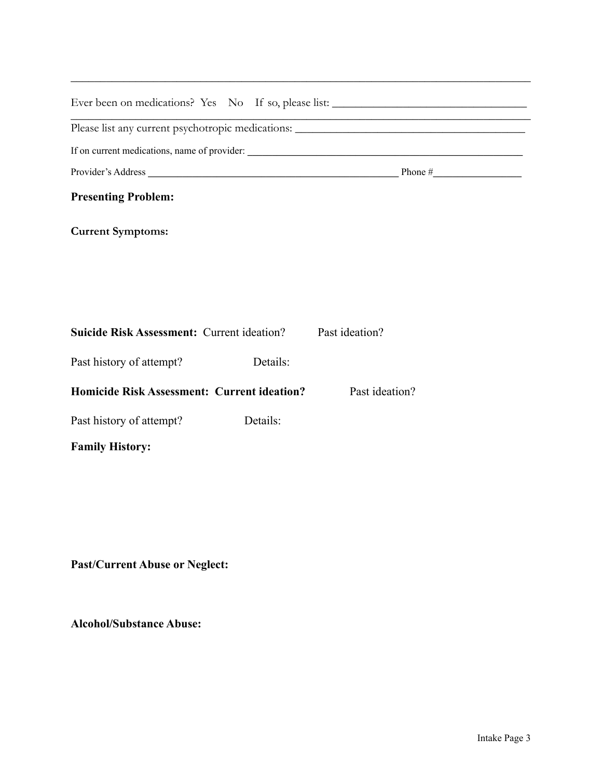| <b>Presenting Problem:</b>                         |          |                |  |
|----------------------------------------------------|----------|----------------|--|
| <b>Current Symptoms:</b>                           |          |                |  |
|                                                    |          |                |  |
|                                                    |          |                |  |
|                                                    |          |                |  |
| <b>Suicide Risk Assessment: Current ideation?</b>  |          | Past ideation? |  |
| Past history of attempt?                           | Details: |                |  |
| <b>Homicide Risk Assessment: Current ideation?</b> |          | Past ideation? |  |
| Past history of attempt?                           | Details: |                |  |
| <b>Family History:</b>                             |          |                |  |
|                                                    |          |                |  |

\_\_\_\_\_\_\_\_\_\_\_\_\_\_\_\_\_\_\_\_\_\_\_\_\_\_\_\_\_\_\_\_\_\_\_\_\_\_\_\_\_\_\_\_\_\_\_\_\_\_\_\_\_\_\_\_\_\_\_\_\_\_\_\_\_\_\_\_\_\_\_\_\_\_\_\_\_\_

**Past/Current Abuse or Neglect:** 

**Alcohol/Substance Abuse:**